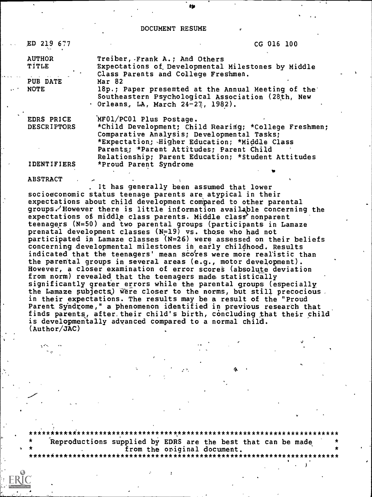#### DOCUMENT RESUME

ED 219 677

CG 016 100

Treiber, Frank A.; And Others **AUTHOR** TITLE Expectations of Developmental Milestones by Middle Class Parents and College Freshmen. PUB DATE Mar 82 18p.; Paper presented at the Annual Meeting of the **NOTE** Southeastern Psychological Association (28th, New Orleans, LA, March 24-27, 1982). MF01/PC01 Plus Postage. EDRS PRICE **DESCRIPTORS** \*Child Development; Child Rearing; \*College Freshmen;

\*Proud Parent Syndrome

Comparative Analysis; Developmental Tasks; \*Expectation; Higher Education; \*Middle Class

Relationship; Parent Education; \*Student Attitudes

Parents; \*Parent Attitudes; Parent Child

**IDENTIFIERS** 

**ABSTRACT** 

It has generally been assumed that lower socioeconomic status teenage parents are atypical in their expectations about child development compared to other parental groups. However there is little information available concerning the expectations of middle class parents. Middle class nonparent teenagers (N=50) and two parental groups (participants in Lamaze prenatal development classes (N=19) vs. those who had not participated in Lamaze classes (N=26) were assessed on their beliefs concerning developmental milestones in early childhood. Results indicated that the teenagers' mean scores were more realistic than the parental groups in several areas (e.g., motor development). However, a closer examination of error scores (absolute deviation from norm) revealed that the teenagers made statistically significantly greater errors while the parental groups (especially the Lamaze subjects) were closer to the norms, but still precocious. in their expectations. The results may be a result of the "Proud Parent Syndrome," a phenomenon identified in previous research that finds parents, after their child's birth, concluding that their child is developmentally advanced compared to a normal child.  $(Author/JAC)$ 

Reproductions supplied by EDRS are the best that can be made from the original document. \*\*\*\*\*\*\*\*\*\*\*\*\*\*\*\*\*\*\*\*\*\*\*\*\*\*\*\*\*\*\*\*\*\*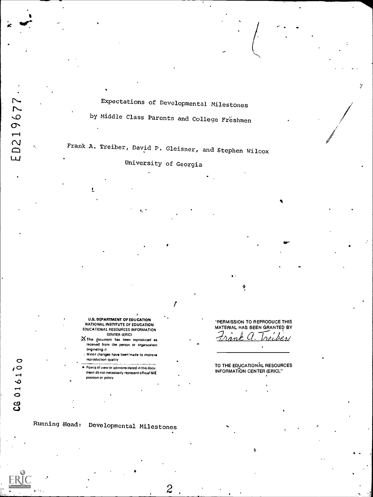Expectations of Developmental Milestones

by Middle Class Parents and College Freshmen

Frank.A. Treiber, David P. Gleisner, and Stephen Wilcox

University of Georgia

ľ

U.S. DEPARTMENT OF EDUCATION NATIONAL INSTITUTE OF EDUCATION EDUCATIONAL RESOURCES INFORMATION CENTER (ERIC)  $\times$  This document has been reproduced as

- received from the person or organization onginating it , Minor changes have beerirnade to improve
- reproduction quality Points of view or opinions stated in this docu ment do not necessarily represent official NIE Position or policy

"PERMISSION TO REPRODUCE THIS MATERIAL HAS BEEN GRANTED BY recher/

TO THE EDUCATIONAL RESOURCES INFORMATION CENTER (ERIC)."

 $2$  , where  $2$ 

Running:Head: Developmental Milestones

CG 016100

ED219677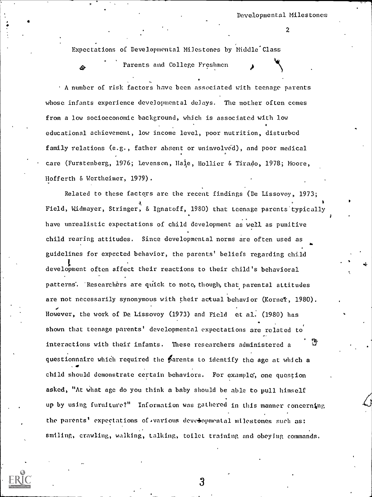4

Expectations of Developmental Milestones by Middle Class

Parents and College Freshmen

A number of risk factors have been associated with teenage parents whose infants experience developmental delays. The mother often comes from a low socioeconomic background, which is associated with low educational achievement, low income level, poor nutrition, disturbed family relations (e.g., father absent or uninvolved), and poor medical care (Furstenberg, 1976; Levenson, Hale, Hollier & Tirado, 1978; Moore, Hofferth & Wertheimer, 1979).

Related to these factors are the recent findings (De Lissovoy, 1973; Field, Widmayer, Stringer, & Ignatoff, 1980) that teenage parents typically have unrealistic expectations of child development as well as punitive child rearing attitudes. Since developmental norms are often used as guidelines for expected behavior, the parents' beliefs regarding child development often affect their reactions to their child's behavioral patterns. Researchers are quick to note, though, that parental attitudes are not necessarily synonymous with their actual behavior (Kornet, 1980). However, the work of De Lissovoy (1973) and Field et al. (1980) has shown that teenage parents' developmental expectations are related to interactions with their infants. These researchers administered a questionnaire which required the  $\beta$  arents to identify the age at which a child should demonstrate certain behaviors. For example, one question asked, "At What age do you think a baby should be able to pull himself up by using furniture?" Information was gathered in this manner concerning the parents' expectations of various developmental milestones such as: smiling, crawling, walking, talking, toilet training and obeying commands.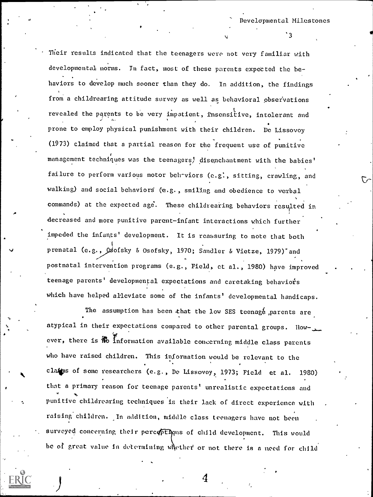Developmental Milestones

Their results indicated that the teenagers were not very familiar with developmental norms. In fact, most of these parents expected the behaviors to develop much sooner than they do. In addition, the findings from a childrearing attitude survey as well as behavioral observations revealed the parents to be very impatient, insensitive, intolerant and prone to employ physical punishment with their children. De Lissovoy (1973) claimed that a partial reason for the frequent use of punitive management techniques was the teenagers) disepthantment with the babies' failure to perform various motor behaviors (e.g., sitting, crawling, and walking) and social behaviors (e.g., smiling and obedience to verbal commands) at the expected age. These childrearing behaviors resulted in decreased and more punitive parent-infant interactions which further impeded the infants' development. It is reassuring to note that both prenatal (e.g., Odofsky & Osofsky, 1970; Sandler & Vietze, 1979)<sup>\*</sup> and postnatal intervention programs (e.g., Field, et al., 1980) have improved teenage parents' developmental expectations and caretaking behaviors which have helped alleviate some of the infants' developmental handicaps.

ft

The assumption has been that the low SES teenage parents are atypical in their expectations compared to other parental groups. However, there is  $\mathbb R$  information available concerning middle class parents who have raised children. This information would be relevant to the clains of some researchers (e.g., De Lissovoy, 1973; Field et al. 1980) that a primary reason for teenage parents' unrealistic expectations and punitive childrearing techniques is their lack of direct experience with raising children. In addition, middle class teenagers have not been surveyed concerning their percoptions of child development. This would be of great value in determining whether or not there is a need for child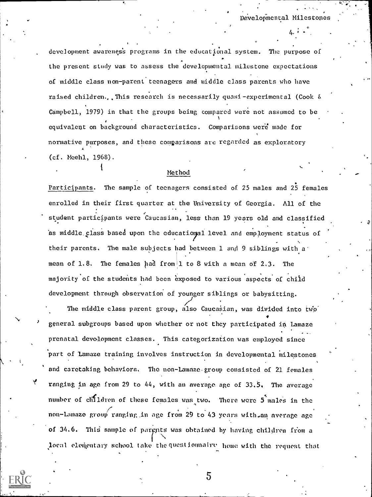Developmental Milestones

development awareness programs in the educational system. The purpose of the present study was to assess the developmental milestone expectations of middle class non-parent teenagers and middle class parents who have raised children...This research is necessarily quasi-experimental (Cook  $\delta$ Campbell, 1979) in that the groups being compared were not assumed to be equivalent on background characteristics. Comparisons were made for normative purposes, and these comparisons are regarded as exploratory (cf. Meehl, 1968).

## Method

Participants. The sample of teenagers consisted of 25 males and 25 females enrolled in their first quarter at the University of Georgia. All of the student participants were Caucasian, less than 19 years old and classified as middle class based upon the educational level and employment status of their parents. The male subjects had between 1 and 9 siblings with a' mean of 1.8. The females had from 1 to 8 with a mean of 2.3. The majority of the students had been exposed to various aspects of child development through observation of younger siblings or babysitting.

The middle class parent group, also Caucasian, was divided into two the state of the match of the match of the m general subgroups based upon whether or not they participated in Lamaze prenatal devedopment classes. This categorization was employed since part of Lamaze training involves instruction in developmental milestones and caretaking behaviors. The non-Lamaze group consisted of 21 females ranging in age from 29 to 44, with an average age of 33.5. The average number of clifldren of these females was two. There were 5 males in the non-Lamazo group ranging in age from 29 to 43 years with.an average age of 34.6. This sample of pargnts was obtained by having children from a local elementary school take the questionnalme home with the request that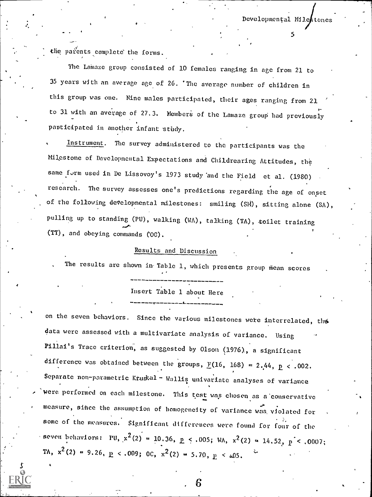Developmental Miles

,

the parents complete the forms.

The Lamaze group consisted of 10 females ranging in age from 21 to 35 years with an average age.of 26. 'Tbe average number of children in this group was one. Nine males participated, their ages ranging from 21 to 31 with an average of 27.3. Members of the Lamaze group had previously participated in another infant study.

 $\mathbf{5}$  - 5  $\mathbf{5}$  - 5  $\mathbf{5}$  - 5  $\mathbf{5}$  - 5  $\mathbf{5}$  - 5  $\mathbf{5}$  - 5  $\mathbf{5}$  - 5  $\mathbf{5}$ 

Instrument. The survey administered to the participants was the Milestone of Developmental Expectations and Childrearing Attitudes, the same form used in De Lissovoy's 1973 study and the Field et al. (1980) research. The survey assesses one's predictions regarding the age of onset of the following developmental milestones: smiling (SM), sitting alone (SA), pulling up to standing (PU), walking (WA), talking (TA), toilet training (TT), and obeying commands COC).

### Results and Discussion

The results are shown in Table 1, which presents group mean scores

Insert Table 1 about Here

on the seven behaviors. Since the various milestones were interrelated, the data were assessed with a multivariate analysis of variance. Using Pillai's Trace criterion, as suggested by Olson (1976), a significant difference was obtained between the groups,  $E(16, 168) = 2.44$ ,  $E < .002$ . Separate non-parametric Kruskal - Wallis univariate analyses of variance were performed on each milestone. This test was chosen as a conservative measure, sitice the assumption of homogeneity of variance was, violated for some of the measures. Significant differences were found for four of the seven behaviors: PU,  $x^2(2) = 10.36$ ,  $p \le .005$ ; WA,  $x^2(2) = 14.52$ ,  $p \le .0007$ ; TA,  $x^2(2) = 9.26$ ,  $\underline{P} < .009$ ; OC,  $x^2(2) = 5.70$ ,  $\underline{P} < .05$ .

. 6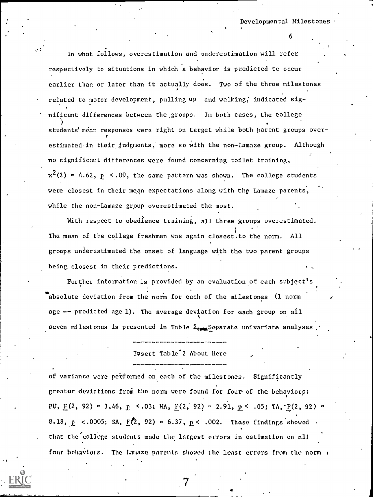$\mathbf{0}$  ,

In what follows, overestimation and underestimation will refer respectively to situations in which a behavior is predicted to occur earlier than or later than it actually does. Two of the three milestones related to motor development, pulling up and walking; indicated sig- . nificant differences between the,groups. In both cases, the tollege students' mean responses were right on target while both parent groups overestimated in their judgments, more so with the non-Lamaze group. Although no significant differences were found concerning toilet training,  $x^2(2)$  = 4.62,  $p \le 0.09$ , the same pattern was shown. The college students were closest in their mean expectations along with the Lamaze parents, while the non-Lamaze group overestimated the most.

With respect to obedience training, all three groups overestimated. The mean of the college freshmen was again closest.to the norm. All groups underestimated the onset of language with the two parent groups being closest in their predictions.

Further information is provided by an evaluation of each subject's absolute deviation from the norm for each of the milestones (1 norm age -- predicted age 1). The average deviation for each group on all seven milestones is presented in Table 2. Separate univariate analyses

Insert Table<sup>2</sup> About Here

of variance were performed on each of the milestones. Significantly greater deviations from the norm were found for four of the behaviors: PU,  $\underline{F}(2, 92) = 3.46$ ,  $\underline{P}$  <.03; WA,  $\underline{F}(2, 92) = 2.91$ ,  $\underline{P}$  < .05; TA,  $\underline{F}(2, 92) =$ 8.18,  $p \le .0005$ ; SA,  $F(2, 92) = 6.37$ ,  $p \le .002$ . These findings showed that the college students made the largest errors in estimation on nil four behaviors. The Lamaze parents showed the least errors from the norm  $\epsilon$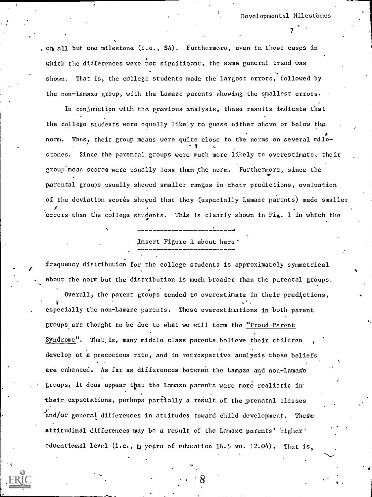Developmental Milestbnes

 $\mathcal{T}$  and  $\mathcal{T}$ 

. on all but one milestone  $(i.e., S\Lambda)$ . Furthermore, even in those cases in which the differences were not significant, the same general trend was shown. That is, the college students made the largest errors, followed by the non-Lamaze group, with the Lamaze parents showing the smallest errors.

In conjunction with the pyevious analysis, these results indicate that the college students were equally likely to guess either above or below the, Thus, their group means were quite close to the norms on several milestones. Since the parental groups were much more likely to overestimate, their group mean scores were usually less than the norm. Furthermore, since the parental groups usually showed smaller ranges in their predictions, evaluation of the deviation scores showed that they (especially Lamaze parents) made smaller errors than the college students. This is clearly shown in Fig. 1 in which the

,Insert Figure 1 about here'

frequency distribution for the college students is approximately symmetrical about the norm but the distribution is much broader than the parental groups.

Overall, the parent groups tended to overestimate in their predictions, V especially the non-Lamaze parents. These overestimations in both parent groups are thought to be due to what we will term the "Proud Parent Syndrome". That is, many middle class parents believe their children develop at a precocious rate, and in retrospective analysis these beliefs are enhanced. As far as differences between the Lamaze and non-Lamaze groups, it does appear that the Lamaze parents were more realistic intheir expectations, perhaps partially a result of the prenatal classes and/or general differences in attitudes toward child development. These attitudinal differences may be a result of the Lamaze parents' higher' educational level (i.e.,  $\mu$  years of education 16.5 vs. 12.04). That is,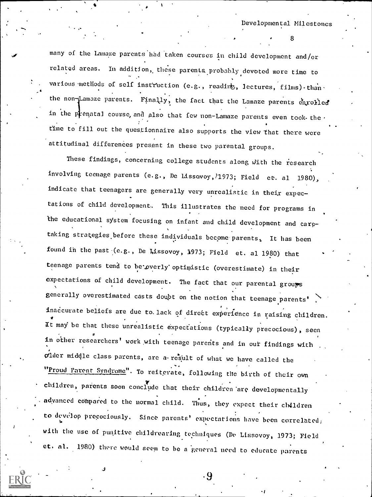many of the Lamaze parents had taken courses in child development and/or related areas. In addition, these parenta.probably devoted more time to various methods of self instruction (e.g., reading, lectures, films) than  $\cdot$ the non-Lamaze parents. Finally, the fact that the Lamaze parents enrolled in the prenatal course, and also that few non-Lamaze parents even took-the, time to fill out the questionnaire also supports the view that there were attitudinal differences present in these two parental groups.

These findings, concerning college students along with the research involving teenage parents (e.g., De Lissovoy, 71973; Field et. al 1980), indicate that teenagers are generally very unrealistic in their expectations of child development. This illustrates the need for programs in the educational system focusing on infant and child development and carp taking strategies before these individuals become parents. It has been  $\cdot$ found in the past  $(c.g.,$  De Lissovoy, 1973; Field et. al 1980) that teenage parents tend to be overly optimistic (overestimate) in their expectations of child development. The fact that our parental groups generally overestimated casts doubt on the notion that teenage parents' inaccurate beliefs are due to lack of direct experience in raising children. It may be that these unrealistic expectations (typically precocious), seen  $\sigma$  and  $\sigma$ in other researchers' work with teenage parents and in our findings with older midgle class, parents, are a-result of what we have called tbe "Proud Parent Syndrome". To reiterate, following the birth of their own children, parents soon conclude that their children are developmentally adyanced compared to the normal child. Thus, they expect their children to develop precociously. Since parents' expectations have been correlated; with the use of puqitive childrearing techniques (De Lissovoy, 1973; Field et. nl. 1980) there would seem to be a 'general need to educate parents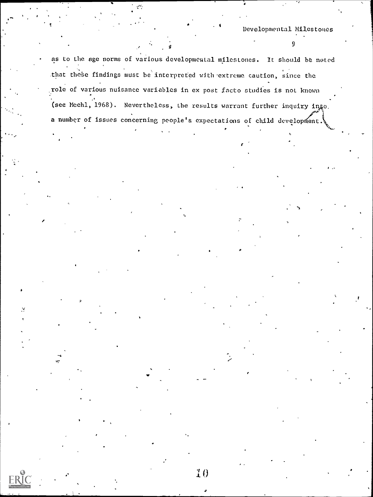$\mathcal{Y}$  and  $\mathcal{Y}$ 

as to the age norms of various developmeutal milestones, it should be noted that these findings must be interpreted with extreme caution, since the ,role of various nuisance variables in ex post facto studies is not known (see Meehl, 1968). Nevertheless, the results warrant further inquiry into. a number of issues concerning people's expectations of child development.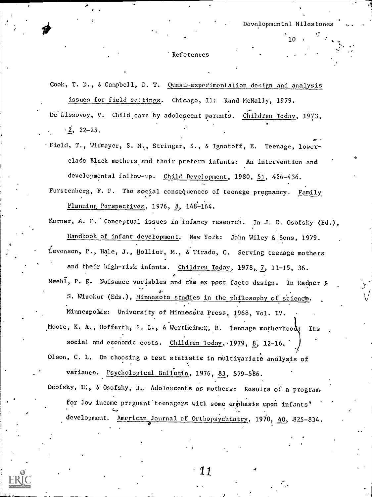#### References

Cook, T. D., & Campbell, D. T. Quasi-experimentation design and analysis issues for field settings. Chicago, Il: Rand McNally, 1979.

De Lissovoy, V. Child care by adolescent parents. Children Today, 1973,  $\cdot$  2, 22-25.

°Field, T., Widmayer, S. M.., Stringer, S., & Ignatoff, E. Teenage, lowerclass Black mothers and their preterm infants: An intervention and developmental follow-up. Chile Development, 1980, 51, 426-436.

Furstenberg, F. F. The social consequences of teenage pregnancy. Family . Planning Perspectives, 1976, 8, 148-164.

Korner, A. F. Conceptual issues in infancy research. In J. D. Osofsky (Ed.), Handbook of infant development. New York: John Wiley &.Sons, 1979. Levenson, P., Hale, J., Hollier, M., & Tirado, C. Serving teenage mothers and their high-risk infants. Children Today, 1978, 7, 11-15, 36.

Meehl, P. E. Nuisance variables and the ex post facto design. In Radner & 5. Winokur (Eds.), Minnesota studies in the philosophy of science.

Minneapobis: University of Minnesdta Press, 1968, Vol. IV. Moore, K. A., Hofferth, S. L., & Wertheimer, R. Teenage motherhood: Its social and economic costs. Children loday, 1979,  $8$ , 12-16.

Olson, C. L. On choosing a test statistic in multivariate analysis of variance. Psychological Bulletin, 1976, 83, 579-586.

Osofsky, H., & Osofsky, J. Adolescents as mothers: Results of a programfor low income pregnant teenagers with some emphasis upon infants' development. American Journal of Orthopsychiatry, 1970, 40, 825-834.

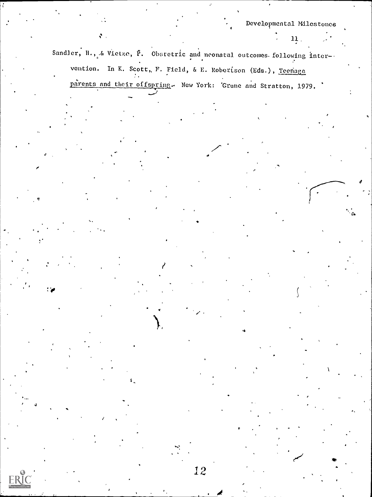Sandler, H., & Vietze,  $\bar{P}$ . Obstetric and neonatal outcomes following inter-. vention. In K. Scott, F. Field, & E. Robertson (Eds.), Teenage

parents and their offspring. New York: 'Grune and Stratton, 1979.

:40

 $\mathbf{v}$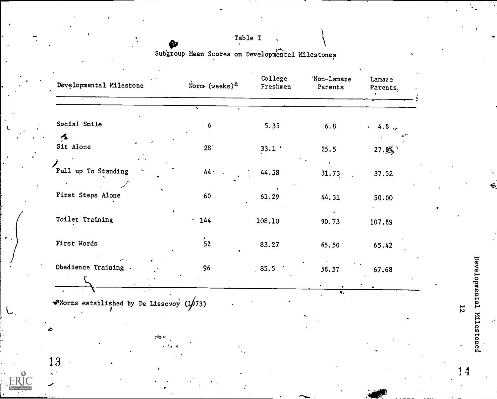# Table I

Subgroup Mean Scores on Developmental Milestones

| Norm (weeks) $a$ | College<br>Freshmen | 'Non-Lamaze<br>Parents | Lamaze<br>Parents, |
|------------------|---------------------|------------------------|--------------------|
|                  |                     |                        |                    |
| 6                | 5.35                | 6.8                    | $-4.8$             |
| 28 <sup>°</sup>  | 33.1:               | 25.5                   | 27.84              |
| 44.              | 44.58               | 31.73                  | 37.52              |
| 60               | 61.29               | 44.31                  | 50.00              |
| $-144$           | 108.10              | 90.73                  | 107.89             |
| $\frac{1}{52}$   | 83.27               | 65.50                  | 65.42              |
| 96               | 85.5                | 58.57                  | 67.68              |
|                  |                     |                        |                    |

Developmental Milestones

 $12$ 

ò.

 $14$ 

 $\bullet$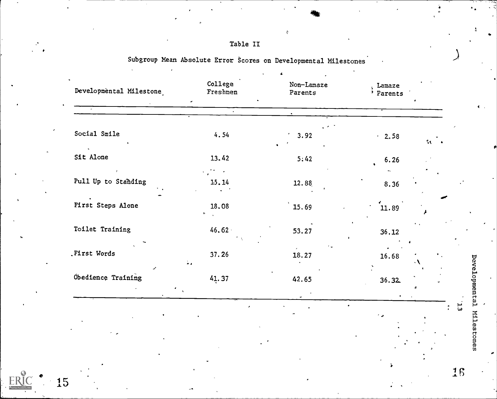| $\bullet$<br>Social Smile<br>4.54<br>3.92<br>$-2.58$<br>Sit Alone<br>13.42<br>5:42<br>6.26<br>Pull Up to Standing<br>15.14<br>12.88<br>8.36<br><b>First Steps Alone</b><br>18.08<br>15.69<br>11.89<br>÷.<br>Toilet Training<br>$46.62 \cdot$<br>53.27<br>36.12<br>First Words<br>37.26<br>18.27<br>16.68<br>$\mathbb{Z}$ . | Lamaze<br>' Parents     |
|----------------------------------------------------------------------------------------------------------------------------------------------------------------------------------------------------------------------------------------------------------------------------------------------------------------------------|-------------------------|
|                                                                                                                                                                                                                                                                                                                            |                         |
|                                                                                                                                                                                                                                                                                                                            | $\mathcal{L}^{\bullet}$ |
|                                                                                                                                                                                                                                                                                                                            |                         |
|                                                                                                                                                                                                                                                                                                                            |                         |
|                                                                                                                                                                                                                                                                                                                            |                         |
|                                                                                                                                                                                                                                                                                                                            |                         |
|                                                                                                                                                                                                                                                                                                                            | ۰\                      |
| Obedience Training<br>41.37<br>42.65<br>36.32                                                                                                                                                                                                                                                                              |                         |
|                                                                                                                                                                                                                                                                                                                            |                         |

| Table II |  |
|----------|--|
|          |  |

Subgroup Mean Absolute Error Scores on Developmental Milestones

 $\bar{\mathbf{c}}$ 

Developmental Milestones  $\vec{u}$ 

.4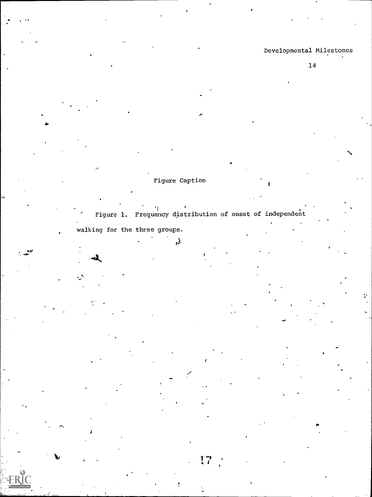÷.

Figure Caption

 $\mathcal{L}$ 

Figure 1. Frequency distribution of onset of independent walking for the three groups.